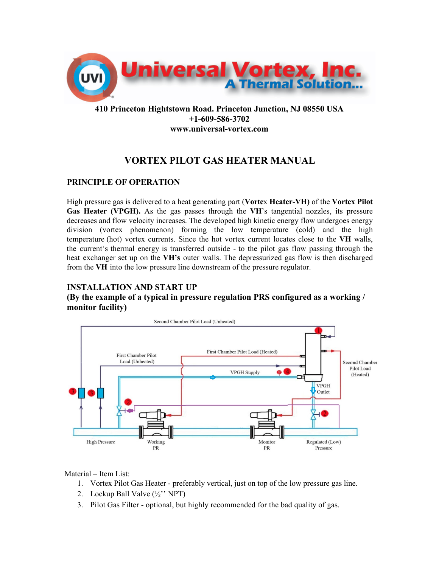

# **410 Princeton Hightstown Road. Princeton Junction, NJ 08550 USA +1-609-586-3702 www.universal-vortex.com**

# **VORTEX PILOT GAS HEATER MANUAL**

### **PRINCIPLE OF OPERATION**

High pressure gas is delivered to a heat generating part (**Vorte**x **Heater-VH)** of the **Vortex Pilot Gas Heater (VPGH).** As the gas passes through the **VH**'s tangential nozzles, its pressure decreases and flow velocity increases. The developed high kinetic energy flow undergoes energy division (vortex phenomenon) forming the low temperature (cold) and the high temperature (hot) vortex currents. Since the hot vortex current locates close to the **VH** walls, the current's thermal energy is transferred outside - to the pilot gas flow passing through the heat exchanger set up on the **VH's** outer walls. The depressurized gas flow is then discharged from the **VH** into the low pressure line downstream of the pressure regulator.

## **INSTALLATION AND START UP**

### **(By the example of a typical in pressure regulation PRS configured as a working / monitor facility)**



Material – Item List:

- 1. Vortex Pilot Gas Heater preferably vertical, just on top of the low pressure gas line.
- 2. Lockup Ball Valve (½'' NPT)
- 3. Pilot Gas Filter optional, but highly recommended for the bad quality of gas.